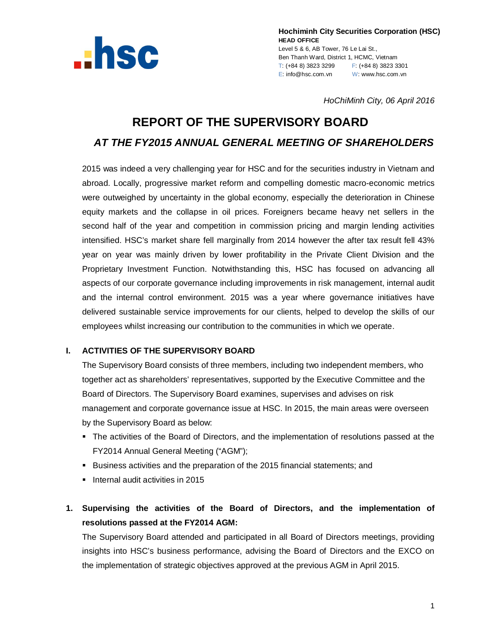

**Hochiminh City Securities Corporation (HSC) HEAD OFFICE** Level 5 & 6, AB Tower, 76 Le Lai St., Ben Thanh Ward, District 1, HCMC, Vietnam T: (+84 8) 3823 3299 F: (+84 8) 3823 3301 E: info@hsc.com.vn W: www.hsc.com.vn

*HoChiMinh City, 06 April 2016*

# **REPORT OF THE SUPERVISORY BOARD** *AT THE FY2015 ANNUAL GENERAL MEETING OF SHAREHOLDERS*

2015 was indeed a very challenging year for HSC and for the securities industry in Vietnam and abroad. Locally, progressive market reform and compelling domestic macro-economic metrics were outweighed by uncertainty in the global economy, especially the deterioration in Chinese equity markets and the collapse in oil prices. Foreigners became heavy net sellers in the second half of the year and competition in commission pricing and margin lending activities intensified. HSC's market share fell marginally from 2014 however the after tax result fell 43% year on year was mainly driven by lower profitability in the Private Client Division and the Proprietary Investment Function. Notwithstanding this, HSC has focused on advancing all aspects of our corporate governance including improvements in risk management, internal audit and the internal control environment. 2015 was a year where governance initiatives have delivered sustainable service improvements for our clients, helped to develop the skills of our employees whilst increasing our contribution to the communities in which we operate.

## **I. ACTIVITIES OF THE SUPERVISORY BOARD**

The Supervisory Board consists of three members, including two independent members, who together act as shareholders' representatives, supported by the Executive Committee and the Board of Directors. The Supervisory Board examines, supervises and advises on risk management and corporate governance issue at HSC. In 2015, the main areas were overseen by the Supervisory Board as below:

- The activities of the Board of Directors, and the implementation of resolutions passed at the FY2014 Annual General Meeting ("AGM");
- Business activities and the preparation of the 2015 financial statements; and
- **Internal audit activities in 2015**
- **1. Supervising the activities of the Board of Directors, and the implementation of resolutions passed at the FY2014 AGM:**

The Supervisory Board attended and participated in all Board of Directors meetings, providing insights into HSC's business performance, advising the Board of Directors and the EXCO on the implementation of strategic objectives approved at the previous AGM in April 2015.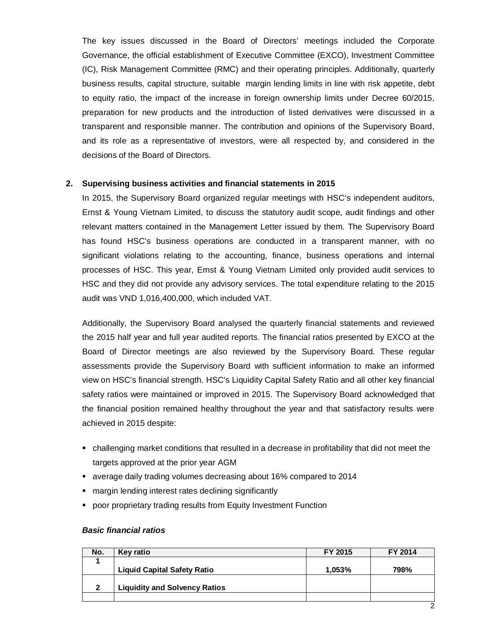The key issues discussed in the Board of Directors' meetings included the Corporate Governance, the official establishment of Executive Committee (EXCO), Investment Committee (IC), Risk Management Committee (RMC) and their operating principles. Additionally, quarterly business results, capital structure, suitable margin lending limits in line with risk appetite, debt to equity ratio, the impact of the increase in foreign ownership limits under Decree 60/2015, preparation for new products and the introduction of listed derivatives were discussed in a transparent and responsible manner. The contribution and opinions of the Supervisory Board, and its role as a representative of investors, were all respected by, and considered in the decisions of the Board of Directors.

#### **2. Supervising business activities and financial statements in 2015**

In 2015, the Supervisory Board organized regular meetings with HSC's independent auditors, Ernst & Young Vietnam Limited, to discuss the statutory audit scope, audit findings and other relevant matters contained in the Management Letter issued by them. The Supervisory Board has found HSC's business operations are conducted in a transparent manner, with no significant violations relating to the accounting, finance, business operations and internal processes of HSC. This year, Ernst & Young Vietnam Limited only provided audit services to HSC and they did not provide any advisory services. The total expenditure relating to the 2015 audit was VND 1,016,400,000, which included VAT.

Additionally, the Supervisory Board analysed the quarterly financial statements and reviewed the 2015 half year and full year audited reports. The financial ratios presented by EXCO at the Board of Director meetings are also reviewed by the Supervisory Board. These regular assessments provide the Supervisory Board with sufficient information to make an informed view on HSC's financial strength. HSC's Liquidity Capital Safety Ratio and all other key financial safety ratios were maintained or improved in 2015. The Supervisory Board acknowledged that the financial position remained healthy throughout the year and that satisfactory results were achieved in 2015 despite:

- challenging market conditions that resulted in a decrease in profitability that did not meet the targets approved at the prior year AGM
- average daily trading volumes decreasing about 16% compared to 2014
- **nargin lending interest rates declining significantly**
- poor proprietary trading results from Equity Investment Function

#### *Basic financial ratios*

| No. | Key ratio                            | FY 2015 | FY 2014 |
|-----|--------------------------------------|---------|---------|
|     |                                      |         |         |
|     | <b>Liquid Capital Safety Ratio</b>   | 1.053%  | 798%    |
|     |                                      |         |         |
| 2   | <b>Liquidity and Solvency Ratios</b> |         |         |
|     |                                      |         |         |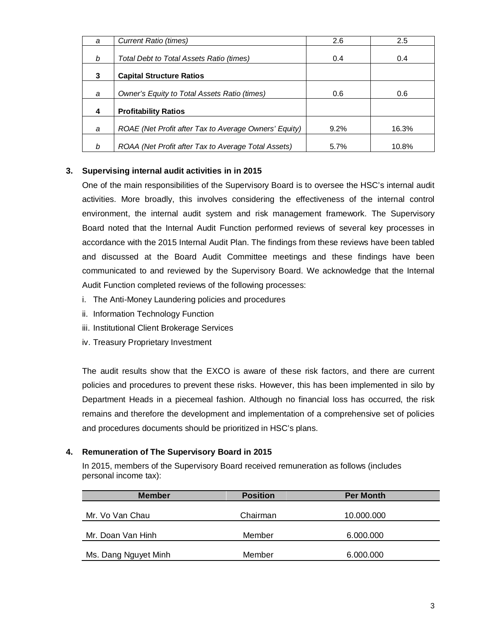| a | Current Ratio (times)                                 | 2.6  | 2.5   |
|---|-------------------------------------------------------|------|-------|
| b | Total Debt to Total Assets Ratio (times)              | 0.4  | 0.4   |
| 3 | <b>Capital Structure Ratios</b>                       |      |       |
| a | Owner's Equity to Total Assets Ratio (times)          | 0.6  | 0.6   |
| 4 | <b>Profitability Ratios</b>                           |      |       |
| a | ROAE (Net Profit after Tax to Average Owners' Equity) | 9.2% | 16.3% |
| b | ROAA (Net Profit after Tax to Average Total Assets)   | 5.7% | 10.8% |

### **3. Supervising internal audit activities in in 2015**

One of the main responsibilities of the Supervisory Board is to oversee the HSC's internal audit activities. More broadly, this involves considering the effectiveness of the internal control environment, the internal audit system and risk management framework. The Supervisory Board noted that the Internal Audit Function performed reviews of several key processes in accordance with the 2015 Internal Audit Plan. The findings from these reviews have been tabled and discussed at the Board Audit Committee meetings and these findings have been communicated to and reviewed by the Supervisory Board. We acknowledge that the Internal Audit Function completed reviews of the following processes:

- i. The Anti-Money Laundering policies and procedures
- ii. Information Technology Function
- iii. Institutional Client Brokerage Services
- iv. Treasury Proprietary Investment

The audit results show that the EXCO is aware of these risk factors, and there are current policies and procedures to prevent these risks. However, this has been implemented in silo by Department Heads in a piecemeal fashion. Although no financial loss has occurred, the risk remains and therefore the development and implementation of a comprehensive set of policies and procedures documents should be prioritized in HSC's plans.

#### **4. Remuneration of The Supervisory Board in 2015**

In 2015, members of the Supervisory Board received remuneration as follows (includes personal income tax):

| <b>Member</b>        | <b>Position</b> | <b>Per Month</b> |
|----------------------|-----------------|------------------|
|                      |                 |                  |
| Mr. Vo Van Chau      | Chairman        | 10.000.000       |
|                      |                 |                  |
| Mr. Doan Van Hinh    | Member          | 6.000.000        |
|                      |                 |                  |
| Ms. Dang Nguyet Minh | Member          | 6.000.000        |